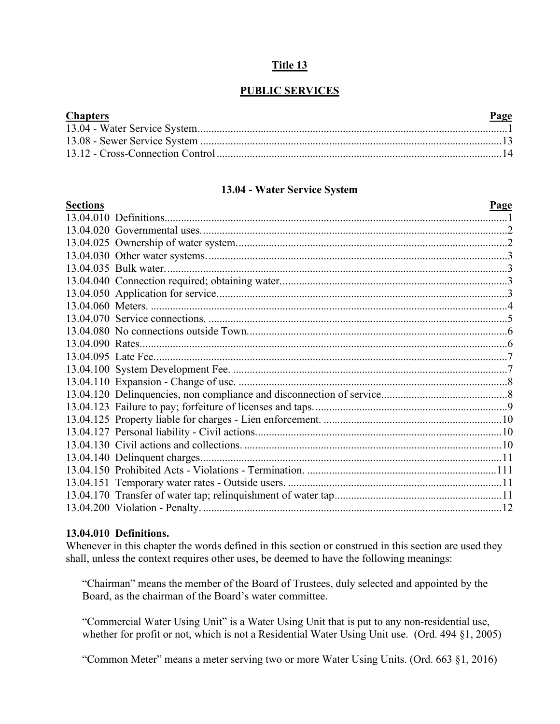# **Title 13**

#### **PUBLIC SERVICES**

| <b>Chapters</b> | Page |
|-----------------|------|
|                 |      |
|                 |      |
|                 |      |

#### **13.04 - Water Service System**

<span id="page-0-0"></span>

| <b>Sections</b> | Page |
|-----------------|------|
|                 |      |
|                 |      |
|                 |      |
|                 |      |
|                 |      |
|                 |      |
|                 |      |
|                 |      |
|                 |      |
|                 |      |
|                 |      |
|                 |      |
|                 |      |
|                 |      |
|                 |      |
|                 |      |
|                 |      |
|                 |      |
|                 |      |
|                 |      |
|                 |      |
|                 |      |
|                 |      |
|                 |      |

#### **13.04.010 Definitions.**

Whenever in this chapter the words defined in this section or construed in this section are used they shall, unless the context requires other uses, be deemed to have the following meanings:

"Chairman" means the member of the Board of Trustees, duly selected and appointed by the Board, as the chairman of the Board's water committee.

"Commercial Water Using Unit" is a Water Using Unit that is put to any non-residential use, whether for profit or not, which is not a Residential Water Using Unit use. (Ord. 494 §1, 2005)

"Common Meter" means a meter serving two or more Water Using Units. (Ord. 663 §1, 2016)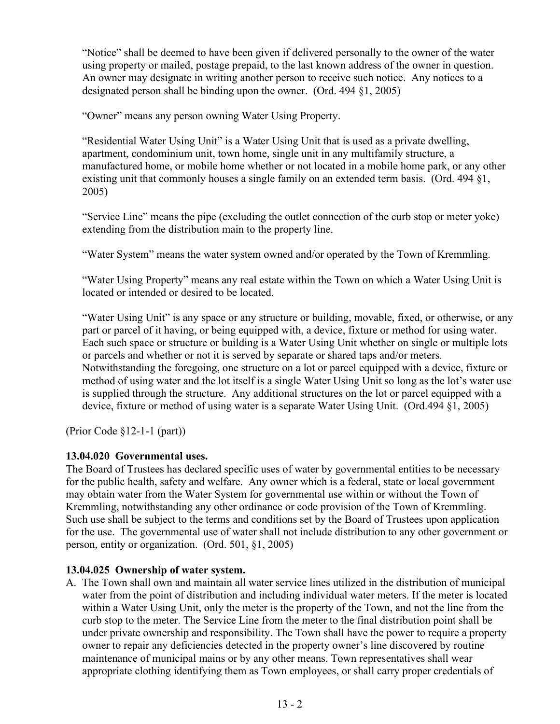"Notice" shall be deemed to have been given if delivered personally to the owner of the water using property or mailed, postage prepaid, to the last known address of the owner in question. An owner may designate in writing another person to receive such notice. Any notices to a designated person shall be binding upon the owner. (Ord. 494 §1, 2005)

"Owner" means any person owning Water Using Property.

"Residential Water Using Unit" is a Water Using Unit that is used as a private dwelling, apartment, condominium unit, town home, single unit in any multifamily structure, a manufactured home, or mobile home whether or not located in a mobile home park, or any other existing unit that commonly houses a single family on an extended term basis. (Ord. 494 §1, 2005)

"Service Line" means the pipe (excluding the outlet connection of the curb stop or meter yoke) extending from the distribution main to the property line.

"Water System" means the water system owned and/or operated by the Town of Kremmling.

"Water Using Property" means any real estate within the Town on which a Water Using Unit is located or intended or desired to be located.

"Water Using Unit" is any space or any structure or building, movable, fixed, or otherwise, or any part or parcel of it having, or being equipped with, a device, fixture or method for using water. Each such space or structure or building is a Water Using Unit whether on single or multiple lots or parcels and whether or not it is served by separate or shared taps and/or meters. Notwithstanding the foregoing, one structure on a lot or parcel equipped with a device, fixture or method of using water and the lot itself is a single Water Using Unit so long as the lot's water use is supplied through the structure. Any additional structures on the lot or parcel equipped with a device, fixture or method of using water is a separate Water Using Unit. (Ord.494 §1, 2005)

(Prior Code §12-1-1 (part))

## **13.04.020 Governmental uses.**

The Board of Trustees has declared specific uses of water by governmental entities to be necessary for the public health, safety and welfare. Any owner which is a federal, state or local government may obtain water from the Water System for governmental use within or without the Town of Kremmling, notwithstanding any other ordinance or code provision of the Town of Kremmling. Such use shall be subject to the terms and conditions set by the Board of Trustees upon application for the use. The governmental use of water shall not include distribution to any other government or person, entity or organization. (Ord. 501, §1, 2005)

## **13.04.025 Ownership of water system.**

A. The Town shall own and maintain all water service lines utilized in the distribution of municipal water from the point of distribution and including individual water meters. If the meter is located within a Water Using Unit, only the meter is the property of the Town, and not the line from the curb stop to the meter. The Service Line from the meter to the final distribution point shall be under private ownership and responsibility. The Town shall have the power to require a property owner to repair any deficiencies detected in the property owner's line discovered by routine maintenance of municipal mains or by any other means. Town representatives shall wear appropriate clothing identifying them as Town employees, or shall carry proper credentials of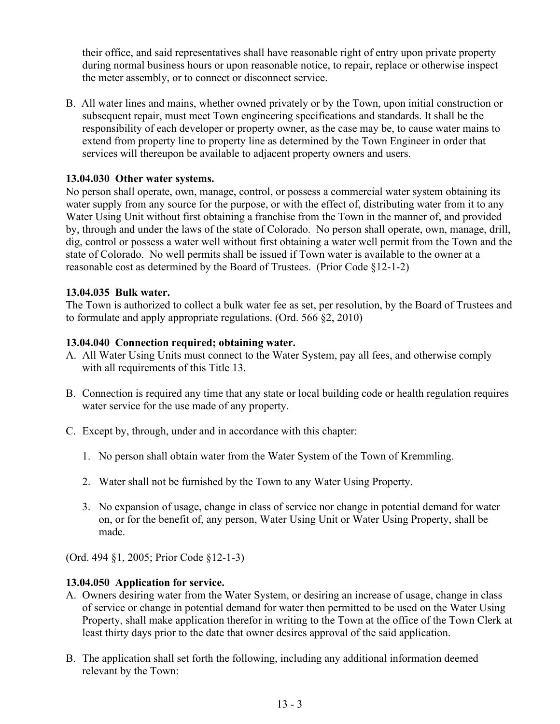their office, and said representatives shall have reasonable right of entry upon private property during normal business hours or upon reasonable notice, to repair, replace or otherwise inspect the meter assembly, or to connect or disconnect service.

B. All water lines and mains, whether owned privately or by the Town, upon initial construction or subsequent repair, must meet Town engineering specifications and standards. It shall be the responsibility of each developer or property owner, as the case may be, to cause water mains to extend from property line to property line as determined by the Town Engineer in order that services will thereupon be available to adjacent property owners and users.

#### **13.04.030 Other water systems.**

No person shall operate, own, manage, control, or possess a commercial water system obtaining its water supply from any source for the purpose, or with the effect of, distributing water from it to any Water Using Unit without first obtaining a franchise from the Town in the manner of, and provided by, through and under the laws of the state of Colorado. No person shall operate, own, manage, drill, dig, control or possess a water well without first obtaining a water well permit from the Town and the state of Colorado. No well permits shall be issued if Town water is available to the owner at a reasonable cost as determined by the Board of Trustees. (Prior Code §12-1-2)

#### **13.04.035 Bulk water.**

The Town is authorized to collect a bulk water fee as set, per resolution, by the Board of Trustees and to formulate and apply appropriate regulations. (Ord. 566 §2, 2010)

#### **13.04.040 Connection required; obtaining water.**

- A. All Water Using Units must connect to the Water System, pay all fees, and otherwise comply with all requirements of this Title 13.
- B. Connection is required any time that any state or local building code or health regulation requires water service for the use made of any property.
- C. Except by, through, under and in accordance with this chapter:
	- 1. No person shall obtain water from the Water System of the Town of Kremmling.
	- 2. Water shall not be furnished by the Town to any Water Using Property.
	- 3. No expansion of usage, change in class of service nor change in potential demand for water on, or for the benefit of, any person, Water Using Unit or Water Using Property, shall be made.

(Ord. 494 §1, 2005; Prior Code §12-1-3)

#### **13.04.050 Application for service.**

- A. Owners desiring water from the Water System, or desiring an increase of usage, change in class of service or change in potential demand for water then permitted to be used on the Water Using Property, shall make application therefor in writing to the Town at the office of the Town Clerk at least thirty days prior to the date that owner desires approval of the said application.
- B. The application shall set forth the following, including any additional information deemed relevant by the Town: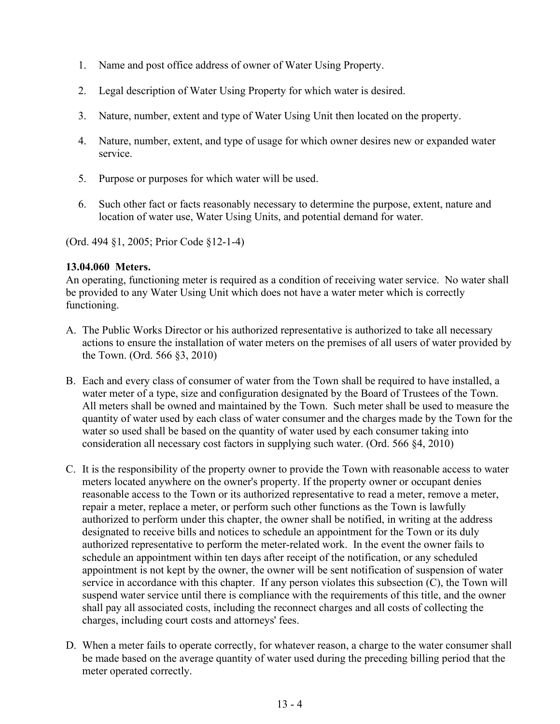- 1. Name and post office address of owner of Water Using Property.
- 2. Legal description of Water Using Property for which water is desired.
- 3. Nature, number, extent and type of Water Using Unit then located on the property.
- 4. Nature, number, extent, and type of usage for which owner desires new or expanded water service.
- 5. Purpose or purposes for which water will be used.
- 6. Such other fact or facts reasonably necessary to determine the purpose, extent, nature and location of water use, Water Using Units, and potential demand for water.

(Ord. 494 §1, 2005; Prior Code §12-1-4)

#### **13.04.060 Meters.**

An operating, functioning meter is required as a condition of receiving water service. No water shall be provided to any Water Using Unit which does not have a water meter which is correctly functioning.

- A. The Public Works Director or his authorized representative is authorized to take all necessary actions to ensure the installation of water meters on the premises of all users of water provided by the Town. (Ord. 566 §3, 2010)
- B. Each and every class of consumer of water from the Town shall be required to have installed, a water meter of a type, size and configuration designated by the Board of Trustees of the Town. All meters shall be owned and maintained by the Town. Such meter shall be used to measure the quantity of water used by each class of water consumer and the charges made by the Town for the water so used shall be based on the quantity of water used by each consumer taking into consideration all necessary cost factors in supplying such water. (Ord. 566 §4, 2010)
- C. It is the responsibility of the property owner to provide the Town with reasonable access to water meters located anywhere on the owner's property. If the property owner or occupant denies reasonable access to the Town or its authorized representative to read a meter, remove a meter, repair a meter, replace a meter, or perform such other functions as the Town is lawfully authorized to perform under this chapter, the owner shall be notified, in writing at the address designated to receive bills and notices to schedule an appointment for the Town or its duly authorized representative to perform the meter-related work. In the event the owner fails to schedule an appointment within ten days after receipt of the notification, or any scheduled appointment is not kept by the owner, the owner will be sent notification of suspension of water service in accordance with this chapter. If any person violates this subsection (C), the Town will suspend water service until there is compliance with the requirements of this title, and the owner shall pay all associated costs, including the reconnect charges and all costs of collecting the charges, including court costs and attorneys' fees.
- D. When a meter fails to operate correctly, for whatever reason, a charge to the water consumer shall be made based on the average quantity of water used during the preceding billing period that the meter operated correctly.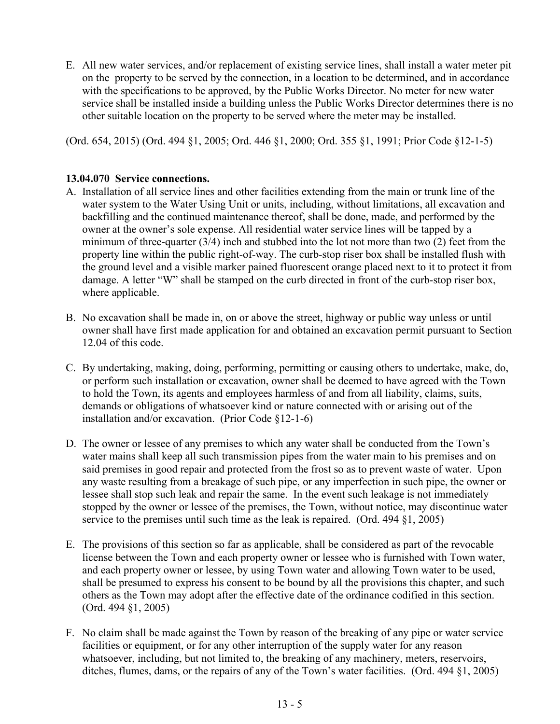E. All new water services, and/or replacement of existing service lines, shall install a water meter pit on the property to be served by the connection, in a location to be determined, and in accordance with the specifications to be approved, by the Public Works Director. No meter for new water service shall be installed inside a building unless the Public Works Director determines there is no other suitable location on the property to be served where the meter may be installed.

(Ord. 654, 2015) (Ord. 494 §1, 2005; Ord. 446 §1, 2000; Ord. 355 §1, 1991; Prior Code §12-1-5)

#### **13.04.070 Service connections.**

- A. Installation of all service lines and other facilities extending from the main or trunk line of the water system to the Water Using Unit or units, including, without limitations, all excavation and backfilling and the continued maintenance thereof, shall be done, made, and performed by the owner at the owner's sole expense. All residential water service lines will be tapped by a minimum of three-quarter (3/4) inch and stubbed into the lot not more than two (2) feet from the property line within the public right-of-way. The curb-stop riser box shall be installed flush with the ground level and a visible marker pained fluorescent orange placed next to it to protect it from damage. A letter "W" shall be stamped on the curb directed in front of the curb-stop riser box, where applicable.
- B. No excavation shall be made in, on or above the street, highway or public way unless or until owner shall have first made application for and obtained an excavation permit pursuant to Section 12.04 of this code.
- C. By undertaking, making, doing, performing, permitting or causing others to undertake, make, do, or perform such installation or excavation, owner shall be deemed to have agreed with the Town to hold the Town, its agents and employees harmless of and from all liability, claims, suits, demands or obligations of whatsoever kind or nature connected with or arising out of the installation and/or excavation. (Prior Code §12-1-6)
- D. The owner or lessee of any premises to which any water shall be conducted from the Town's water mains shall keep all such transmission pipes from the water main to his premises and on said premises in good repair and protected from the frost so as to prevent waste of water. Upon any waste resulting from a breakage of such pipe, or any imperfection in such pipe, the owner or lessee shall stop such leak and repair the same. In the event such leakage is not immediately stopped by the owner or lessee of the premises, the Town, without notice, may discontinue water service to the premises until such time as the leak is repaired. (Ord. 494 §1, 2005)
- E. The provisions of this section so far as applicable, shall be considered as part of the revocable license between the Town and each property owner or lessee who is furnished with Town water, and each property owner or lessee, by using Town water and allowing Town water to be used, shall be presumed to express his consent to be bound by all the provisions this chapter, and such others as the Town may adopt after the effective date of the ordinance codified in this section. (Ord. 494 §1, 2005)
- F. No claim shall be made against the Town by reason of the breaking of any pipe or water service facilities or equipment, or for any other interruption of the supply water for any reason whatsoever, including, but not limited to, the breaking of any machinery, meters, reservoirs, ditches, flumes, dams, or the repairs of any of the Town's water facilities. (Ord. 494 §1, 2005)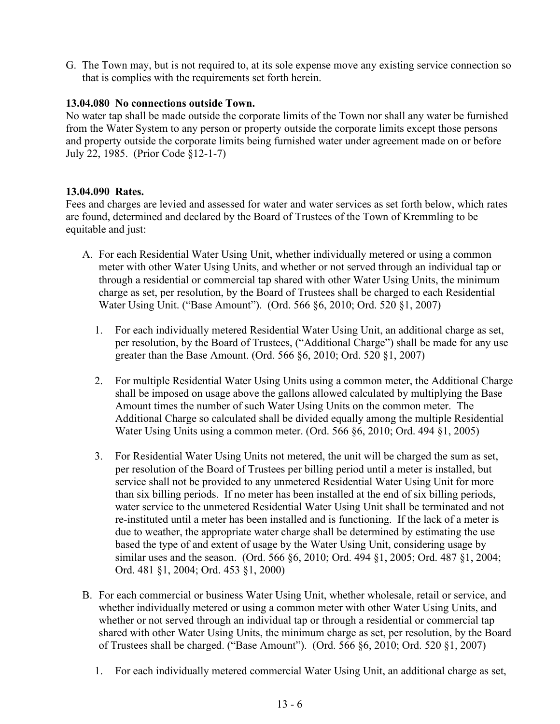G. The Town may, but is not required to, at its sole expense move any existing service connection so that is complies with the requirements set forth herein.

## **13.04.080 No connections outside Town.**

No water tap shall be made outside the corporate limits of the Town nor shall any water be furnished from the Water System to any person or property outside the corporate limits except those persons and property outside the corporate limits being furnished water under agreement made on or before July 22, 1985. (Prior Code §12-1-7)

#### **13.04.090 Rates.**

Fees and charges are levied and assessed for water and water services as set forth below, which rates are found, determined and declared by the Board of Trustees of the Town of Kremmling to be equitable and just:

- A. For each Residential Water Using Unit, whether individually metered or using a common meter with other Water Using Units, and whether or not served through an individual tap or through a residential or commercial tap shared with other Water Using Units, the minimum charge as set, per resolution, by the Board of Trustees shall be charged to each Residential Water Using Unit. ("Base Amount"). (Ord. 566 §6, 2010; Ord. 520 §1, 2007)
	- 1. For each individually metered Residential Water Using Unit, an additional charge as set, per resolution, by the Board of Trustees, ("Additional Charge") shall be made for any use greater than the Base Amount. (Ord. 566 §6, 2010; Ord. 520 §1, 2007)
	- 2. For multiple Residential Water Using Units using a common meter, the Additional Charge shall be imposed on usage above the gallons allowed calculated by multiplying the Base Amount times the number of such Water Using Units on the common meter. The Additional Charge so calculated shall be divided equally among the multiple Residential Water Using Units using a common meter. (Ord. 566 §6, 2010; Ord. 494 §1, 2005)
	- 3. For Residential Water Using Units not metered, the unit will be charged the sum as set, per resolution of the Board of Trustees per billing period until a meter is installed, but service shall not be provided to any unmetered Residential Water Using Unit for more than six billing periods. If no meter has been installed at the end of six billing periods, water service to the unmetered Residential Water Using Unit shall be terminated and not re-instituted until a meter has been installed and is functioning. If the lack of a meter is due to weather, the appropriate water charge shall be determined by estimating the use based the type of and extent of usage by the Water Using Unit, considering usage by similar uses and the season. (Ord. 566 §6, 2010; Ord. 494 §1, 2005; Ord. 487 §1, 2004; Ord. 481 §1, 2004; Ord. 453 §1, 2000)
- B. For each commercial or business Water Using Unit, whether wholesale, retail or service, and whether individually metered or using a common meter with other Water Using Units, and whether or not served through an individual tap or through a residential or commercial tap shared with other Water Using Units, the minimum charge as set, per resolution, by the Board of Trustees shall be charged. ("Base Amount"). (Ord. 566 §6, 2010; Ord. 520 §1, 2007)
	- 1. For each individually metered commercial Water Using Unit, an additional charge as set,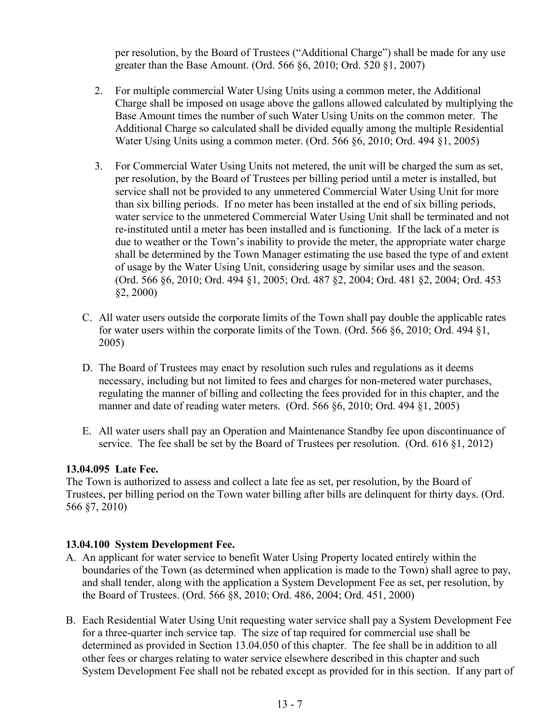per resolution, by the Board of Trustees ("Additional Charge") shall be made for any use greater than the Base Amount. (Ord. 566 §6, 2010; Ord. 520 §1, 2007)

- 2. For multiple commercial Water Using Units using a common meter, the Additional Charge shall be imposed on usage above the gallons allowed calculated by multiplying the Base Amount times the number of such Water Using Units on the common meter. The Additional Charge so calculated shall be divided equally among the multiple Residential Water Using Units using a common meter. (Ord. 566 §6, 2010; Ord. 494 §1, 2005)
- 3. For Commercial Water Using Units not metered, the unit will be charged the sum as set, per resolution, by the Board of Trustees per billing period until a meter is installed, but service shall not be provided to any unmetered Commercial Water Using Unit for more than six billing periods. If no meter has been installed at the end of six billing periods, water service to the unmetered Commercial Water Using Unit shall be terminated and not re-instituted until a meter has been installed and is functioning. If the lack of a meter is due to weather or the Town's inability to provide the meter, the appropriate water charge shall be determined by the Town Manager estimating the use based the type of and extent of usage by the Water Using Unit, considering usage by similar uses and the season. (Ord. 566 §6, 2010; Ord. 494 §1, 2005; Ord. 487 §2, 2004; Ord. 481 §2, 2004; Ord. 453 §2, 2000)
- C. All water users outside the corporate limits of the Town shall pay double the applicable rates for water users within the corporate limits of the Town. (Ord. 566 §6, 2010; Ord. 494 §1, 2005)
- D. The Board of Trustees may enact by resolution such rules and regulations as it deems necessary, including but not limited to fees and charges for non-metered water purchases, regulating the manner of billing and collecting the fees provided for in this chapter, and the manner and date of reading water meters. (Ord. 566 §6, 2010; Ord. 494 §1, 2005)
- E. All water users shall pay an Operation and Maintenance Standby fee upon discontinuance of service. The fee shall be set by the Board of Trustees per resolution. (Ord. 616 §1, 2012)

## **13.04.095 Late Fee.**

The Town is authorized to assess and collect a late fee as set, per resolution, by the Board of Trustees, per billing period on the Town water billing after bills are delinquent for thirty days. (Ord. 566 §7, 2010)

## **13.04.100 System Development Fee.**

- A. An applicant for water service to benefit Water Using Property located entirely within the boundaries of the Town (as determined when application is made to the Town) shall agree to pay, and shall tender, along with the application a System Development Fee as set, per resolution, by the Board of Trustees. (Ord. 566 §8, 2010; Ord. 486, 2004; Ord. 451, 2000)
- B. Each Residential Water Using Unit requesting water service shall pay a System Development Fee for a three-quarter inch service tap. The size of tap required for commercial use shall be determined as provided in Section 13.04.050 of this chapter. The fee shall be in addition to all other fees or charges relating to water service elsewhere described in this chapter and such System Development Fee shall not be rebated except as provided for in this section. If any part of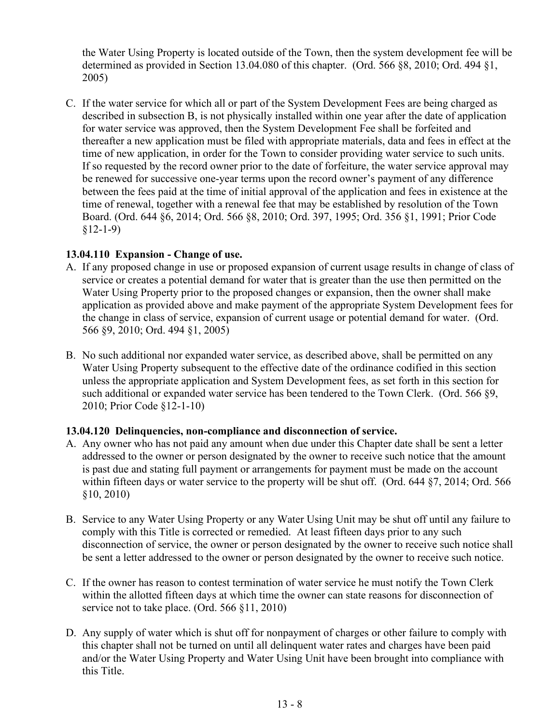the Water Using Property is located outside of the Town, then the system development fee will be determined as provided in Section 13.04.080 of this chapter. (Ord. 566 §8, 2010; Ord. 494 §1, 2005)

C. If the water service for which all or part of the System Development Fees are being charged as described in subsection B, is not physically installed within one year after the date of application for water service was approved, then the System Development Fee shall be forfeited and thereafter a new application must be filed with appropriate materials, data and fees in effect at the time of new application, in order for the Town to consider providing water service to such units. If so requested by the record owner prior to the date of forfeiture, the water service approval may be renewed for successive one-year terms upon the record owner's payment of any difference between the fees paid at the time of initial approval of the application and fees in existence at the time of renewal, together with a renewal fee that may be established by resolution of the Town Board. (Ord. 644 §6, 2014; Ord. 566 §8, 2010; Ord. 397, 1995; Ord. 356 §1, 1991; Prior Code §12-1-9)

# **13.04.110 Expansion - Change of use.**

- A. If any proposed change in use or proposed expansion of current usage results in change of class of service or creates a potential demand for water that is greater than the use then permitted on the Water Using Property prior to the proposed changes or expansion, then the owner shall make application as provided above and make payment of the appropriate System Development fees for the change in class of service, expansion of current usage or potential demand for water. (Ord. 566 §9, 2010; Ord. 494 §1, 2005)
- B. No such additional nor expanded water service, as described above, shall be permitted on any Water Using Property subsequent to the effective date of the ordinance codified in this section unless the appropriate application and System Development fees, as set forth in this section for such additional or expanded water service has been tendered to the Town Clerk. (Ord. 566 §9, 2010; Prior Code §12-1-10)

## **13.04.120 Delinquencies, non-compliance and disconnection of service.**

- A. Any owner who has not paid any amount when due under this Chapter date shall be sent a letter addressed to the owner or person designated by the owner to receive such notice that the amount is past due and stating full payment or arrangements for payment must be made on the account within fifteen days or water service to the property will be shut off. (Ord. 644 §7, 2014; Ord. 566 §10, 2010)
- B. Service to any Water Using Property or any Water Using Unit may be shut off until any failure to comply with this Title is corrected or remedied. At least fifteen days prior to any such disconnection of service, the owner or person designated by the owner to receive such notice shall be sent a letter addressed to the owner or person designated by the owner to receive such notice.
- C. If the owner has reason to contest termination of water service he must notify the Town Clerk within the allotted fifteen days at which time the owner can state reasons for disconnection of service not to take place. (Ord. 566 §11, 2010)
- D. Any supply of water which is shut off for nonpayment of charges or other failure to comply with this chapter shall not be turned on until all delinquent water rates and charges have been paid and/or the Water Using Property and Water Using Unit have been brought into compliance with this Title.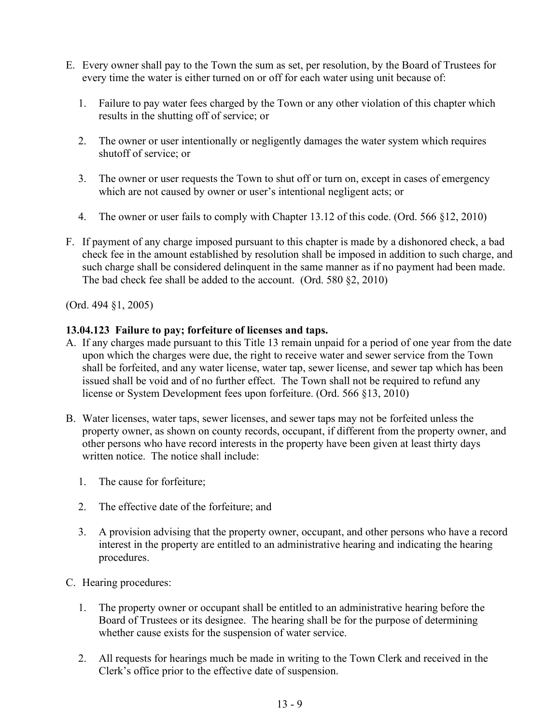- E. Every owner shall pay to the Town the sum as set, per resolution, by the Board of Trustees for every time the water is either turned on or off for each water using unit because of:
	- 1. Failure to pay water fees charged by the Town or any other violation of this chapter which results in the shutting off of service; or
	- 2. The owner or user intentionally or negligently damages the water system which requires shutoff of service; or
	- 3. The owner or user requests the Town to shut off or turn on, except in cases of emergency which are not caused by owner or user's intentional negligent acts; or
	- 4. The owner or user fails to comply with Chapter 13.12 of this code. (Ord. 566 §12, 2010)
- F. If payment of any charge imposed pursuant to this chapter is made by a dishonored check, a bad check fee in the amount established by resolution shall be imposed in addition to such charge, and such charge shall be considered delinquent in the same manner as if no payment had been made. The bad check fee shall be added to the account. (Ord. 580 §2, 2010)

(Ord. 494 §1, 2005)

## **13.04.123 Failure to pay; forfeiture of licenses and taps.**

- A. If any charges made pursuant to this Title 13 remain unpaid for a period of one year from the date upon which the charges were due, the right to receive water and sewer service from the Town shall be forfeited, and any water license, water tap, sewer license, and sewer tap which has been issued shall be void and of no further effect. The Town shall not be required to refund any license or System Development fees upon forfeiture. (Ord. 566 §13, 2010)
- B. Water licenses, water taps, sewer licenses, and sewer taps may not be forfeited unless the property owner, as shown on county records, occupant, if different from the property owner, and other persons who have record interests in the property have been given at least thirty days written notice. The notice shall include:
	- 1. The cause for forfeiture;
	- 2. The effective date of the forfeiture; and
	- 3. A provision advising that the property owner, occupant, and other persons who have a record interest in the property are entitled to an administrative hearing and indicating the hearing procedures.
- C. Hearing procedures:
	- 1. The property owner or occupant shall be entitled to an administrative hearing before the Board of Trustees or its designee. The hearing shall be for the purpose of determining whether cause exists for the suspension of water service.
	- 2. All requests for hearings much be made in writing to the Town Clerk and received in the Clerk's office prior to the effective date of suspension.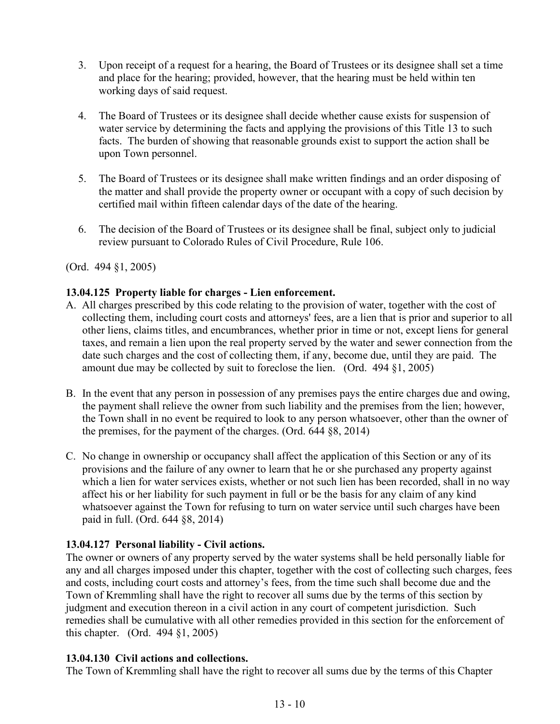- 3. Upon receipt of a request for a hearing, the Board of Trustees or its designee shall set a time and place for the hearing; provided, however, that the hearing must be held within ten working days of said request.
- 4. The Board of Trustees or its designee shall decide whether cause exists for suspension of water service by determining the facts and applying the provisions of this Title 13 to such facts. The burden of showing that reasonable grounds exist to support the action shall be upon Town personnel.
- 5. The Board of Trustees or its designee shall make written findings and an order disposing of the matter and shall provide the property owner or occupant with a copy of such decision by certified mail within fifteen calendar days of the date of the hearing.
- 6. The decision of the Board of Trustees or its designee shall be final, subject only to judicial review pursuant to Colorado Rules of Civil Procedure, Rule 106.

(Ord. 494 §1, 2005)

# **13.04.125 Property liable for charges - Lien enforcement.**

- A. All charges prescribed by this code relating to the provision of water, together with the cost of collecting them, including court costs and attorneys' fees, are a lien that is prior and superior to all other liens, claims titles, and encumbrances, whether prior in time or not, except liens for general taxes, and remain a lien upon the real property served by the water and sewer connection from the date such charges and the cost of collecting them, if any, become due, until they are paid. The amount due may be collected by suit to foreclose the lien. (Ord. 494 §1, 2005)
- B. In the event that any person in possession of any premises pays the entire charges due and owing, the payment shall relieve the owner from such liability and the premises from the lien; however, the Town shall in no event be required to look to any person whatsoever, other than the owner of the premises, for the payment of the charges. (Ord. 644 §8, 2014)
- C. No change in ownership or occupancy shall affect the application of this Section or any of its provisions and the failure of any owner to learn that he or she purchased any property against which a lien for water services exists, whether or not such lien has been recorded, shall in no way affect his or her liability for such payment in full or be the basis for any claim of any kind whatsoever against the Town for refusing to turn on water service until such charges have been paid in full. (Ord. 644 §8, 2014)

# **13.04.127 Personal liability - Civil actions.**

The owner or owners of any property served by the water systems shall be held personally liable for any and all charges imposed under this chapter, together with the cost of collecting such charges, fees and costs, including court costs and attorney's fees, from the time such shall become due and the Town of Kremmling shall have the right to recover all sums due by the terms of this section by judgment and execution thereon in a civil action in any court of competent jurisdiction. Such remedies shall be cumulative with all other remedies provided in this section for the enforcement of this chapter. (Ord. 494 §1, 2005)

## **13.04.130 Civil actions and collections.**

The Town of Kremmling shall have the right to recover all sums due by the terms of this Chapter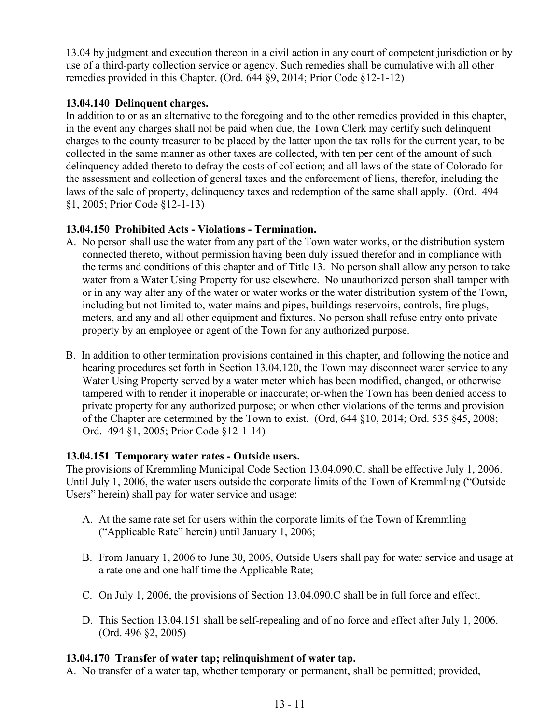13.04 by judgment and execution thereon in a civil action in any court of competent jurisdiction or by use of a third-party collection service or agency. Such remedies shall be cumulative with all other remedies provided in this Chapter. (Ord. 644 §9, 2014; Prior Code §12-1-12)

# **13.04.140 Delinquent charges.**

In addition to or as an alternative to the foregoing and to the other remedies provided in this chapter, in the event any charges shall not be paid when due, the Town Clerk may certify such delinquent charges to the county treasurer to be placed by the latter upon the tax rolls for the current year, to be collected in the same manner as other taxes are collected, with ten per cent of the amount of such delinquency added thereto to defray the costs of collection; and all laws of the state of Colorado for the assessment and collection of general taxes and the enforcement of liens, therefor, including the laws of the sale of property, delinquency taxes and redemption of the same shall apply. (Ord. 494 §1, 2005; Prior Code §12-1-13)

# **13.04.150 Prohibited Acts - Violations - Termination.**

- A. No person shall use the water from any part of the Town water works, or the distribution system connected thereto, without permission having been duly issued therefor and in compliance with the terms and conditions of this chapter and of Title 13. No person shall allow any person to take water from a Water Using Property for use elsewhere. No unauthorized person shall tamper with or in any way alter any of the water or water works or the water distribution system of the Town, including but not limited to, water mains and pipes, buildings reservoirs, controls, fire plugs, meters, and any and all other equipment and fixtures. No person shall refuse entry onto private property by an employee or agent of the Town for any authorized purpose.
- B. In addition to other termination provisions contained in this chapter, and following the notice and hearing procedures set forth in Section 13.04.120, the Town may disconnect water service to any Water Using Property served by a water meter which has been modified, changed, or otherwise tampered with to render it inoperable or inaccurate; or-when the Town has been denied access to private property for any authorized purpose; or when other violations of the terms and provision of the Chapter are determined by the Town to exist. (Ord, 644 §10, 2014; Ord. 535 §45, 2008; Ord. 494 §1, 2005; Prior Code §12-1-14)

## **13.04.151 Temporary water rates - Outside users.**

The provisions of Kremmling Municipal Code Section 13.04.090.C, shall be effective July 1, 2006. Until July 1, 2006, the water users outside the corporate limits of the Town of Kremmling ("Outside Users" herein) shall pay for water service and usage:

- A. At the same rate set for users within the corporate limits of the Town of Kremmling ("Applicable Rate" herein) until January 1, 2006;
- B. From January 1, 2006 to June 30, 2006, Outside Users shall pay for water service and usage at a rate one and one half time the Applicable Rate;
- C. On July 1, 2006, the provisions of Section 13.04.090.C shall be in full force and effect.
- D. This Section 13.04.151 shall be self-repealing and of no force and effect after July 1, 2006. (Ord. 496 §2, 2005)

## **13.04.170 Transfer of water tap; relinquishment of water tap.**

A. No transfer of a water tap, whether temporary or permanent, shall be permitted; provided,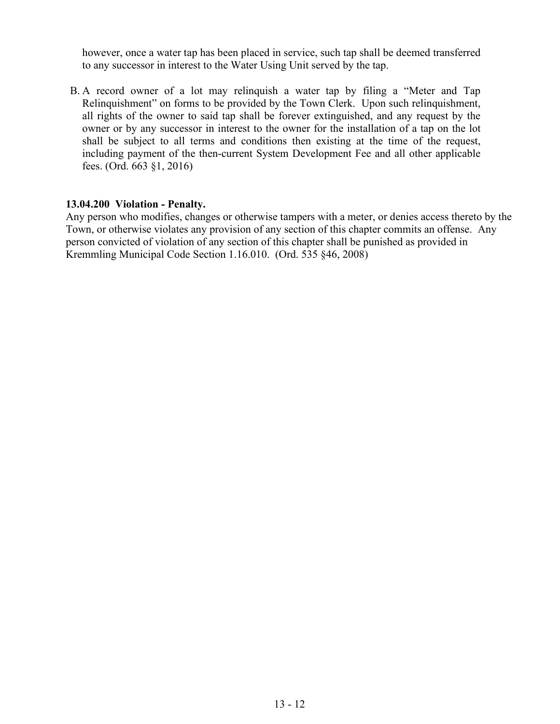however, once a water tap has been placed in service, such tap shall be deemed transferred to any successor in interest to the Water Using Unit served by the tap.

B. A record owner of a lot may relinquish a water tap by filing a "Meter and Tap Relinquishment" on forms to be provided by the Town Clerk. Upon such relinquishment, all rights of the owner to said tap shall be forever extinguished, and any request by the owner or by any successor in interest to the owner for the installation of a tap on the lot shall be subject to all terms and conditions then existing at the time of the request, including payment of the then-current System Development Fee and all other applicable fees. (Ord. 663 §1, 2016)

#### **13.04.200 Violation - Penalty.**

Any person who modifies, changes or otherwise tampers with a meter, or denies access thereto by the Town, or otherwise violates any provision of any section of this chapter commits an offense. Any person convicted of violation of any section of this chapter shall be punished as provided in Kremmling Municipal Code Section 1.16.010. (Ord. 535 §46, 2008)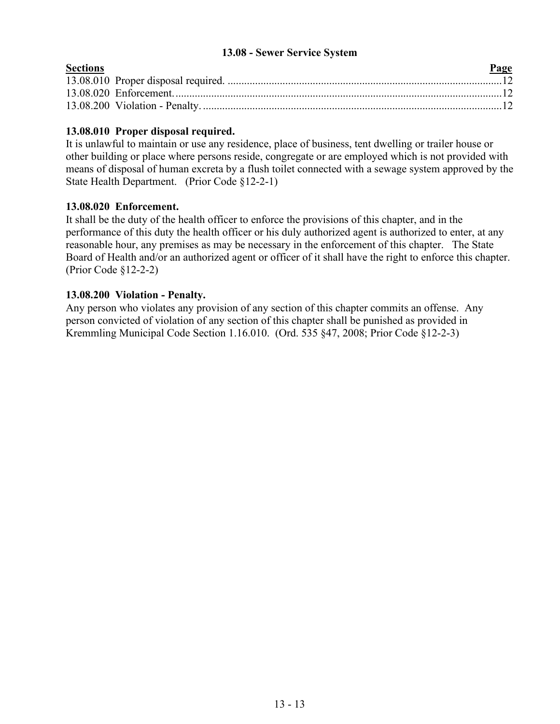#### **13.08 - Sewer Service System**

<span id="page-12-0"></span>

| <b>Sections</b> | Page |
|-----------------|------|
|                 |      |
|                 |      |
|                 |      |

# **13.08.010 Proper disposal required.**

It is unlawful to maintain or use any residence, place of business, tent dwelling or trailer house or other building or place where persons reside, congregate or are employed which is not provided with means of disposal of human excreta by a flush toilet connected with a sewage system approved by the State Health Department. (Prior Code §12-2-1)

## **13.08.020 Enforcement.**

It shall be the duty of the health officer to enforce the provisions of this chapter, and in the performance of this duty the health officer or his duly authorized agent is authorized to enter, at any reasonable hour, any premises as may be necessary in the enforcement of this chapter. The State Board of Health and/or an authorized agent or officer of it shall have the right to enforce this chapter. (Prior Code §12-2-2)

#### **13.08.200 Violation - Penalty.**

Any person who violates any provision of any section of this chapter commits an offense. Any person convicted of violation of any section of this chapter shall be punished as provided in Kremmling Municipal Code Section 1.16.010. (Ord. 535 §47, 2008; Prior Code §12-2-3)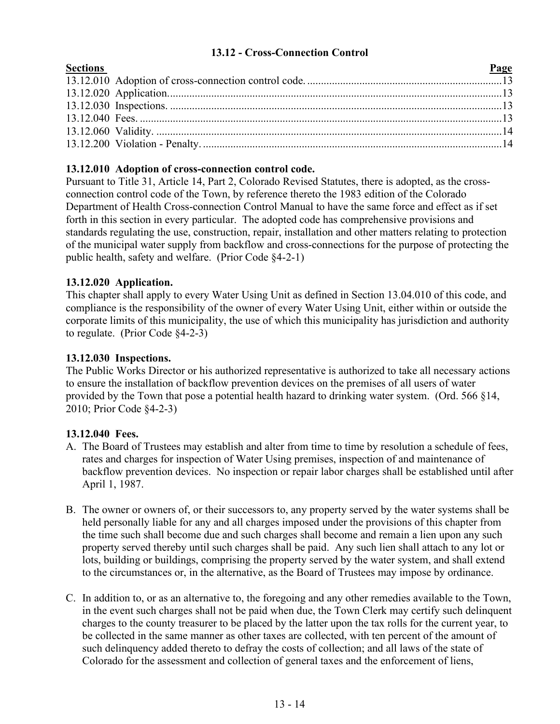## **13.12 - Cross-Connection Control**

<span id="page-13-0"></span>

| <b>Sections</b> | Page |
|-----------------|------|
|                 |      |
|                 |      |
|                 |      |
|                 |      |
|                 |      |
|                 |      |

# **13.12.010 Adoption of cross-connection control code.**

Pursuant to Title 31, Article 14, Part 2, Colorado Revised Statutes, there is adopted, as the crossconnection control code of the Town, by reference thereto the 1983 edition of the Colorado Department of Health Cross-connection Control Manual to have the same force and effect as if set forth in this section in every particular. The adopted code has comprehensive provisions and standards regulating the use, construction, repair, installation and other matters relating to protection of the municipal water supply from backflow and cross-connections for the purpose of protecting the public health, safety and welfare. (Prior Code §4-2-1)

# **13.12.020 Application.**

This chapter shall apply to every Water Using Unit as defined in Section 13.04.010 of this code, and compliance is the responsibility of the owner of every Water Using Unit, either within or outside the corporate limits of this municipality, the use of which this municipality has jurisdiction and authority to regulate. (Prior Code §4-2-3)

# **13.12.030 Inspections.**

The Public Works Director or his authorized representative is authorized to take all necessary actions to ensure the installation of backflow prevention devices on the premises of all users of water provided by the Town that pose a potential health hazard to drinking water system. (Ord. 566 §14, 2010; Prior Code §4-2-3)

## **13.12.040 Fees.**

- A. The Board of Trustees may establish and alter from time to time by resolution a schedule of fees, rates and charges for inspection of Water Using premises, inspection of and maintenance of backflow prevention devices. No inspection or repair labor charges shall be established until after April 1, 1987.
- B. The owner or owners of, or their successors to, any property served by the water systems shall be held personally liable for any and all charges imposed under the provisions of this chapter from the time such shall become due and such charges shall become and remain a lien upon any such property served thereby until such charges shall be paid. Any such lien shall attach to any lot or lots, building or buildings, comprising the property served by the water system, and shall extend to the circumstances or, in the alternative, as the Board of Trustees may impose by ordinance.
- C. In addition to, or as an alternative to, the foregoing and any other remedies available to the Town, in the event such charges shall not be paid when due, the Town Clerk may certify such delinquent charges to the county treasurer to be placed by the latter upon the tax rolls for the current year, to be collected in the same manner as other taxes are collected, with ten percent of the amount of such delinquency added thereto to defray the costs of collection; and all laws of the state of Colorado for the assessment and collection of general taxes and the enforcement of liens,